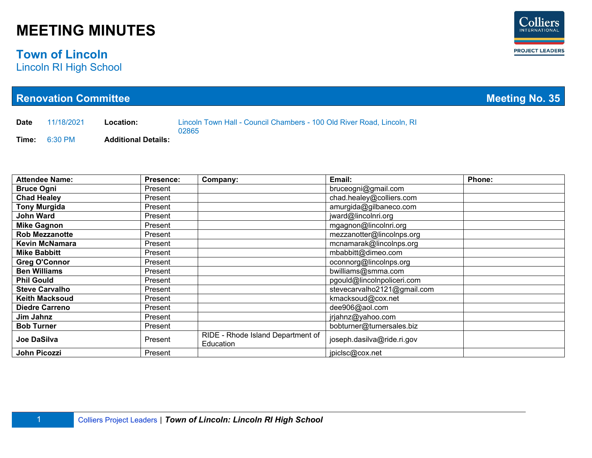### **Town of Lincoln**

Lincoln RI High School

|                     | <b>Renovation Committee</b> |                            |           |                                                                        | <b>Meeting No. 35</b>       |               |
|---------------------|-----------------------------|----------------------------|-----------|------------------------------------------------------------------------|-----------------------------|---------------|
| <b>Date</b>         | 11/18/2021                  | Location:                  | 02865     | Lincoln Town Hall - Council Chambers - 100 Old River Road, Lincoln, RI |                             |               |
| Time:               | 6:30 PM                     | <b>Additional Details:</b> |           |                                                                        |                             |               |
|                     |                             |                            |           |                                                                        |                             |               |
|                     |                             |                            |           |                                                                        |                             |               |
|                     |                             |                            |           |                                                                        |                             |               |
|                     | <b>Attendee Name:</b>       |                            | Presence: | Company:                                                               | Email:                      | <b>Phone:</b> |
| <b>Bruce Ogni</b>   |                             |                            | Present   |                                                                        | bruceogni@gmail.com         |               |
| <b>Chad Healey</b>  |                             |                            | Present   |                                                                        | chad.healey@colliers.com    |               |
|                     | <b>Tony Murgida</b>         |                            | Present   |                                                                        | amurgida@gilbaneco.com      |               |
| <b>John Ward</b>    |                             |                            | Present   |                                                                        | jward@lincolnri.org         |               |
|                     | <b>Mike Gagnon</b>          |                            | Present   |                                                                        | mgagnon@lincolnri.org       |               |
|                     | <b>Rob Mezzanotte</b>       |                            | Present   |                                                                        | mezzanotter@lincolnps.org   |               |
|                     | <b>Kevin McNamara</b>       |                            | Present   |                                                                        | mcnamarak@lincolnps.org     |               |
| <b>Mike Babbitt</b> |                             |                            | Present   |                                                                        | mbabbitt@dimeo.com          |               |
|                     | <b>Greg O'Connor</b>        |                            | Present   |                                                                        | oconnorg@lincolnps.org      |               |
| <b>Ben Williams</b> |                             |                            | Present   |                                                                        | bwilliams@smma.com          |               |
| <b>Phil Gould</b>   |                             |                            | Present   |                                                                        | pgould@lincoInpoliceri.com  |               |
|                     | <b>Steve Carvalho</b>       |                            | Present   |                                                                        | stevecarvalho2121@gmail.com |               |
|                     | <b>Keith Macksoud</b>       |                            | Present   |                                                                        | kmacksoud@cox.net           |               |
|                     | <b>Diedre Carreno</b>       |                            | Present   |                                                                        | dee906@aol.com              |               |
| Jim Jahnz           |                             |                            | Present   |                                                                        | jrjahnz@yahoo.com           |               |
| <b>Bob Turner</b>   |                             |                            | Present   |                                                                        | bobturner@turnersales.biz   |               |
| <b>Joe DaSilva</b>  |                             |                            | Present   | RIDE - Rhode Island Department of<br>Education                         | joseph.dasilva@ride.ri.gov  |               |
| John Picozzi        |                             |                            | Present   |                                                                        | jpiclsc@cox.net             |               |

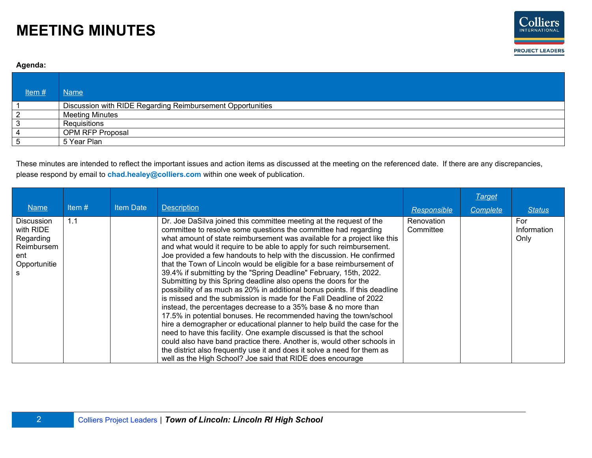

#### **Agenda:**

| Item# | <b>Name</b>                                                |
|-------|------------------------------------------------------------|
|       | Discussion with RIDE Regarding Reimbursement Opportunities |
| 2     | <b>Meeting Minutes</b>                                     |
| 3     | Requisitions                                               |
| -4    | <b>OPM RFP Proposal</b>                                    |
| 5     | 5 Year Plan                                                |

These minutes are intended to reflect the important issues and action items as discussed at the meeting on the referenced date. If there are any discrepancies, please respond by email to **chad.healey@colliers.com** within one week of publication.

|                                                                                  |          |                  |                                                                                                                                                                                                                                                                                                                                                                                                                                                                                                                                                                                                                                                                                                                                                                                                                                                                                                                                                                                                                                                                                                                                                                                                                                                             |                         | <b>Target</b> |                            |
|----------------------------------------------------------------------------------|----------|------------------|-------------------------------------------------------------------------------------------------------------------------------------------------------------------------------------------------------------------------------------------------------------------------------------------------------------------------------------------------------------------------------------------------------------------------------------------------------------------------------------------------------------------------------------------------------------------------------------------------------------------------------------------------------------------------------------------------------------------------------------------------------------------------------------------------------------------------------------------------------------------------------------------------------------------------------------------------------------------------------------------------------------------------------------------------------------------------------------------------------------------------------------------------------------------------------------------------------------------------------------------------------------|-------------------------|---------------|----------------------------|
| <b>Name</b>                                                                      | Item $#$ | <b>Item Date</b> | <b>Description</b>                                                                                                                                                                                                                                                                                                                                                                                                                                                                                                                                                                                                                                                                                                                                                                                                                                                                                                                                                                                                                                                                                                                                                                                                                                          | Responsible             | Complete      | <b>Status</b>              |
| <b>Discussion</b><br>with RIDE<br>Regarding<br>Reimbursem<br>ent<br>Opportunitie | 1.1      |                  | Dr. Joe DaSilva joined this committee meeting at the request of the<br>committee to resolve some questions the committee had regarding<br>what amount of state reimbursement was available for a project like this<br>and what would it require to be able to apply for such reimbursement.<br>Joe provided a few handouts to help with the discussion. He confirmed<br>that the Town of Lincoln would be eligible for a base reimbursement of<br>39.4% if submitting by the "Spring Deadline" February, 15th, 2022.<br>Submitting by this Spring deadline also opens the doors for the<br>possibility of as much as 20% in additional bonus points. If this deadline<br>is missed and the submission is made for the Fall Deadline of 2022<br>instead, the percentages decrease to a 35% base & no more than<br>17.5% in potential bonuses. He recommended having the town/school<br>hire a demographer or educational planner to help build the case for the<br>need to have this facility. One example discussed is that the school<br>could also have band practice there. Another is, would other schools in<br>the district also frequently use it and does it solve a need for them as<br>well as the High School? Joe said that RIDE does encourage | Renovation<br>Committee |               | For<br>Information<br>Only |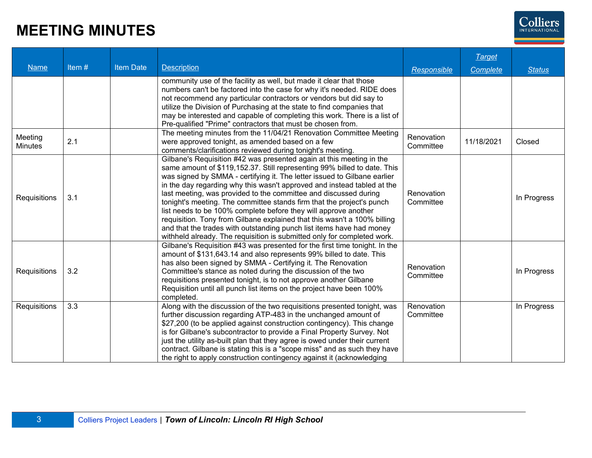

|                |       |           |                                                                                                                                           |             | <b>Target</b> |               |
|----------------|-------|-----------|-------------------------------------------------------------------------------------------------------------------------------------------|-------------|---------------|---------------|
| <b>Name</b>    | Item# | Item Date | <b>Description</b>                                                                                                                        | Responsible | Complete      | <b>Status</b> |
|                |       |           | community use of the facility as well, but made it clear that those                                                                       |             |               |               |
|                |       |           | numbers can't be factored into the case for why it's needed. RIDE does                                                                    |             |               |               |
|                |       |           | not recommend any particular contractors or vendors but did say to                                                                        |             |               |               |
|                |       |           | utilize the Division of Purchasing at the state to find companies that                                                                    |             |               |               |
|                |       |           | may be interested and capable of completing this work. There is a list of                                                                 |             |               |               |
|                |       |           | Pre-qualified "Prime" contractors that must be chosen from.<br>The meeting minutes from the 11/04/21 Renovation Committee Meeting         |             |               |               |
| Meeting        | 2.1   |           | were approved tonight, as amended based on a few                                                                                          | Renovation  | 11/18/2021    | Closed        |
| <b>Minutes</b> |       |           | comments/clarifications reviewed during tonight's meeting.                                                                                | Committee   |               |               |
|                |       |           | Gilbane's Requisition #42 was presented again at this meeting in the                                                                      |             |               |               |
|                |       |           | same amount of \$119,152.37. Still representing 99% billed to date. This                                                                  |             |               |               |
|                |       |           | was signed by SMMA - certifying it. The letter issued to Gilbane earlier                                                                  |             |               |               |
|                |       |           | in the day regarding why this wasn't approved and instead tabled at the                                                                   |             |               |               |
|                | 3.1   |           | last meeting, was provided to the committee and discussed during                                                                          | Renovation  |               |               |
| Requisitions   |       |           | tonight's meeting. The committee stands firm that the project's punch                                                                     | Committee   |               | In Progress   |
|                |       |           | list needs to be 100% complete before they will approve another                                                                           |             |               |               |
|                |       |           | requisition. Tony from Gilbane explained that this wasn't a 100% billing                                                                  |             |               |               |
|                |       |           | and that the trades with outstanding punch list items have had money                                                                      |             |               |               |
|                |       |           | withheld already. The requisition is submitted only for completed work.                                                                   |             |               |               |
|                |       |           | Gilbane's Requisition #43 was presented for the first time tonight. In the                                                                |             |               |               |
|                |       |           | amount of \$131,643.14 and also represents 99% billed to date. This                                                                       |             |               |               |
|                |       |           | has also been signed by SMMA - Certifying it. The Renovation                                                                              | Renovation  |               |               |
| Requisitions   | 3.2   |           | Committee's stance as noted during the discussion of the two                                                                              | Committee   |               | In Progress   |
|                |       |           | requisitions presented tonight, is to not approve another Gilbane<br>Requisition until all punch list items on the project have been 100% |             |               |               |
|                |       |           | completed.                                                                                                                                |             |               |               |
| Requisitions   | 3.3   |           | Along with the discussion of the two requisitions presented tonight, was                                                                  | Renovation  |               | In Progress   |
|                |       |           | further discussion regarding ATP-483 in the unchanged amount of                                                                           | Committee   |               |               |
|                |       |           | \$27,200 (to be applied against construction contingency). This change                                                                    |             |               |               |
|                |       |           | is for Gilbane's subcontractor to provide a Final Property Survey. Not                                                                    |             |               |               |
|                |       |           | just the utility as-built plan that they agree is owed under their current                                                                |             |               |               |
|                |       |           | contract. Gilbane is stating this is a "scope miss" and as such they have                                                                 |             |               |               |
|                |       |           | the right to apply construction contingency against it (acknowledging                                                                     |             |               |               |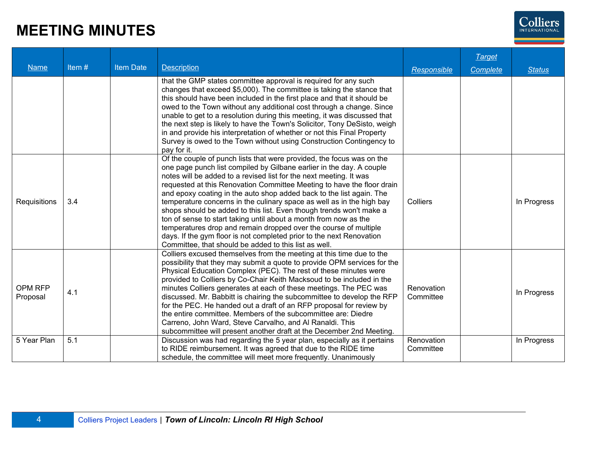

|              |          |                  |                                                                                                                                                      |                         | <b>Target</b> |               |
|--------------|----------|------------------|------------------------------------------------------------------------------------------------------------------------------------------------------|-------------------------|---------------|---------------|
| <b>Name</b>  | Item $#$ | <b>Item Date</b> | <b>Description</b>                                                                                                                                   | Responsible             | Complete      | <b>Status</b> |
|              |          |                  | that the GMP states committee approval is required for any such                                                                                      |                         |               |               |
|              |          |                  | changes that exceed \$5,000). The committee is taking the stance that                                                                                |                         |               |               |
|              |          |                  | this should have been included in the first place and that it should be                                                                              |                         |               |               |
|              |          |                  | owed to the Town without any additional cost through a change. Since                                                                                 |                         |               |               |
|              |          |                  | unable to get to a resolution during this meeting, it was discussed that                                                                             |                         |               |               |
|              |          |                  | the next step is likely to have the Town's Solicitor, Tony DeSisto, weigh<br>in and provide his interpretation of whether or not this Final Property |                         |               |               |
|              |          |                  | Survey is owed to the Town without using Construction Contingency to                                                                                 |                         |               |               |
|              |          |                  | pay for it.                                                                                                                                          |                         |               |               |
|              |          |                  | Of the couple of punch lists that were provided, the focus was on the                                                                                |                         |               |               |
|              |          |                  | one page punch list compiled by Gilbane earlier in the day. A couple                                                                                 |                         |               |               |
|              | 3.4      |                  | notes will be added to a revised list for the next meeting. It was                                                                                   |                         |               |               |
|              |          |                  | requested at this Renovation Committee Meeting to have the floor drain                                                                               |                         |               |               |
| Requisitions |          |                  | and epoxy coating in the auto shop added back to the list again. The<br>temperature concerns in the culinary space as well as in the high bay        | Colliers                |               | In Progress   |
|              |          |                  | shops should be added to this list. Even though trends won't make a                                                                                  |                         |               |               |
|              |          |                  | ton of sense to start taking until about a month from now as the                                                                                     |                         |               |               |
|              |          |                  | temperatures drop and remain dropped over the course of multiple                                                                                     |                         |               |               |
|              |          |                  | days. If the gym floor is not completed prior to the next Renovation                                                                                 |                         |               |               |
|              |          |                  | Committee, that should be added to this list as well.                                                                                                |                         |               |               |
|              |          |                  | Colliers excused themselves from the meeting at this time due to the                                                                                 |                         |               |               |
|              |          |                  | possibility that they may submit a quote to provide OPM services for the                                                                             |                         |               |               |
|              |          |                  | Physical Education Complex (PEC). The rest of these minutes were                                                                                     |                         |               |               |
| OPM RFP      |          |                  | provided to Colliers by Co-Chair Keith Macksoud to be included in the                                                                                | Renovation              |               |               |
|              | 4.1      |                  | minutes Colliers generates at each of these meetings. The PEC was                                                                                    |                         |               | In Progress   |
| Proposal     |          |                  | discussed. Mr. Babbitt is chairing the subcommittee to develop the RFP                                                                               | Committee               |               |               |
|              |          |                  | for the PEC. He handed out a draft of an RFP proposal for review by                                                                                  |                         |               |               |
|              |          |                  | the entire committee. Members of the subcommittee are: Diedre                                                                                        |                         |               |               |
|              |          |                  | Carreno, John Ward, Steve Carvalho, and Al Ranaldi. This                                                                                             |                         |               |               |
|              |          |                  | subcommittee will present another draft at the December 2nd Meeting.                                                                                 |                         |               |               |
| 5 Year Plan  | 5.1      |                  | Discussion was had regarding the 5 year plan, especially as it pertains<br>to RIDE reimbursement. It was agreed that due to the RIDE time            | Renovation<br>Committee |               | In Progress   |
|              |          |                  | schedule, the committee will meet more frequently. Unanimously                                                                                       |                         |               |               |